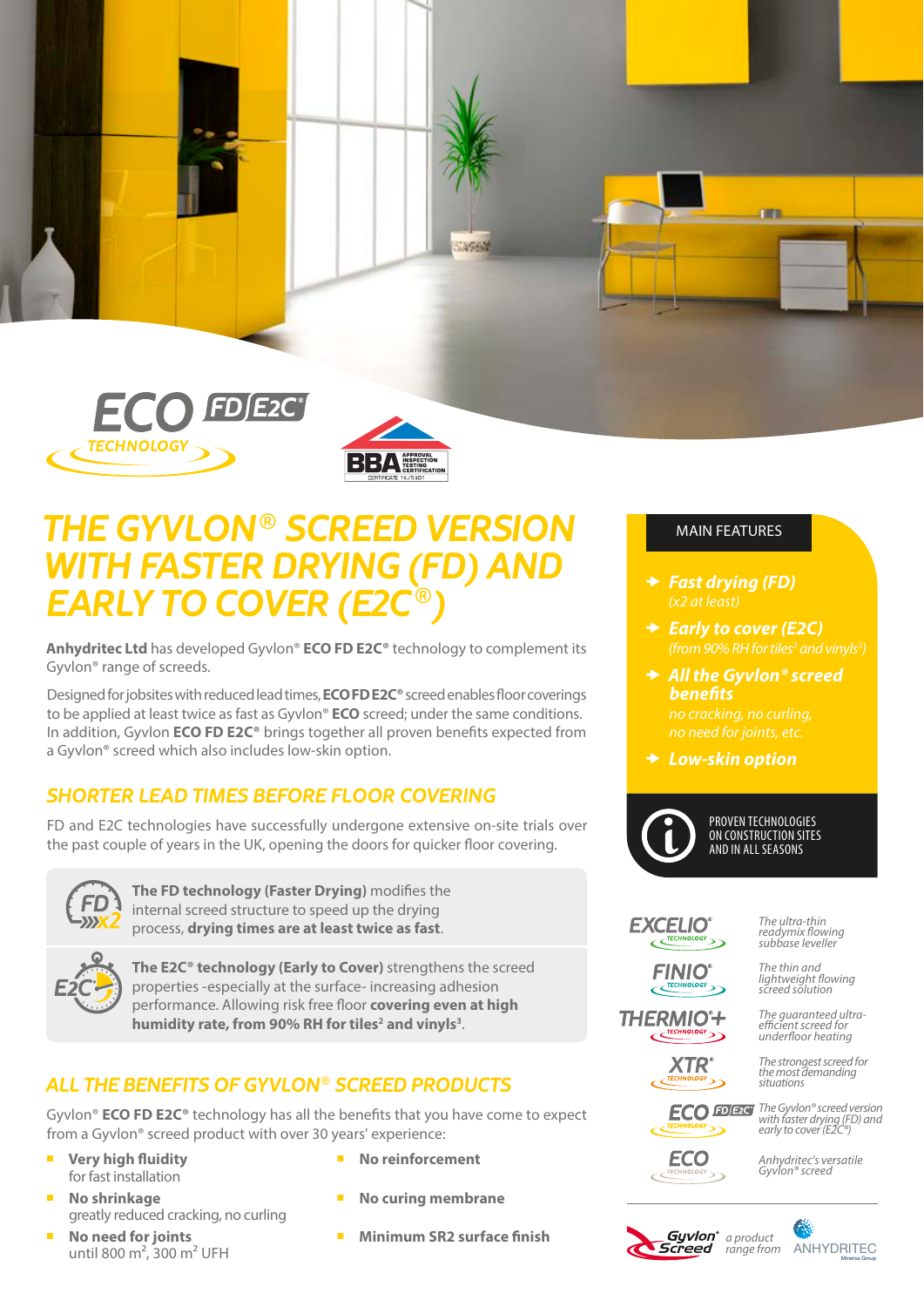



# *THE GYVLON ® SCREED VERSION WITH FASTER DRYING (FD) AND EARLY TO COVER (E2C<sup>®</sup>)*

**Anhydritec Ltd** has developed Gyvlon® **ECO FD E2C®** technology to complement its Gyvlon® range of screeds.

Designed for jobsites with reduced lead times, **ECO FD E2C®** screed enables floor coverings to be applied at least twice as fast as Gyvlon® **ECO** screed; under the same conditions. In addition, Gyvlon **ECO FD E2C®** brings together all proven benefits expected from a Gyvlon® screed which also includes low-skin option.

## *SHORTER LEAD TIMES BEFORE FLOOR COVERING*

FD and E2C technologies have successfully undergone extensive on-site trials over the past couple of years in the UK, opening the doors for quicker floor covering.



**The FD technology (Faster Drying)** modifies the internal screed structure to speed up the drying process, **drying times are at least twice as fast**.



**The E2C® technology (Early to Cover)** strengthens the screed properties -especially at the surface- increasing adhesion performance. Allowing risk free floor **covering even at high**  humidity rate, from 90% RH for tiles<sup>2</sup> and vinyls<sup>3</sup>.

## *ALL THE BENEFITS OF GYVLON® SCREED PRODUCTS*

Gyvlon® **ECO FD E2C®** technology has all the benefits that you have come to expect from a Gyvlon® screed product with over 30 years' experience:

- **Very high fluidity** for fast installation
- ¡ **No shrinkage** greatly reduced cracking, no curling
- **No need for joints** until 800 m², 300 m² UFH
- ¡ **No reinforcement**
- **No curing membrane**
- ¡ **Minimum SR2 surface finish**

### MAIN FEATURES

- *Fast drying (FD) (x2 at least)*
- *Early to cover (E2C)*

m

- **→ All the Gyvlon® screed** *benefits no cracking, no curling,*
- *Low-skin option*



#### PROVEN TECHNOLOGIES ON CONSTRUCTION SITES AND IN ALL SEASONS

**EXCELIO** 

*The ultra-thin* 

**FINIO** 

*readymix flowing subbase leveller*

*The thin and lightweight flowing screed solution*

**THERMIO<sup>\*</sup>+** 

*The guaranteed ultraefficient screed for underfloor heating The strongest screed for the most demanding* 

*situations*

**XTR** 

**ECO** 

**ECO FDE2C** *The Gyvlon® screed version with faster drying (FD) and early to cover (E2C®)*

> *Anhydritec's versatile Gyvlon® screed*